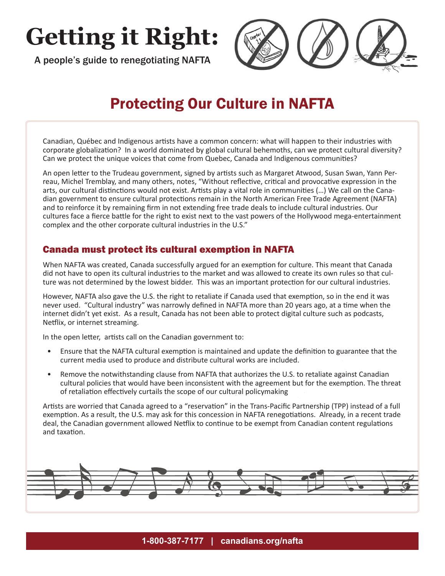# **Getting it Right:**

A people's guide to renegotiating NAFTA



# Protecting Our Culture in NAFTA

Canadian, Québec and Indigenous artists have a common concern: what will happen to their industries with corporate globalization? In a world dominated by global cultural behemoths, can we protect cultural diversity? Can we protect the unique voices that come from Quebec, Canada and Indigenous communities?

An open letter to the Trudeau government, signed by artists such as Margaret Atwood, Susan Swan, Yann Perreau, Michel Tremblay, and many others, notes, "Without reflective, critical and provocative expression in the arts, our cultural distinctions would not exist. Artists play a vital role in communities (…) We call on the Canadian government to ensure cultural protections remain in the North American Free Trade Agreement (NAFTA) and to reinforce it by remaining firm in not extending free trade deals to include cultural industries. Our cultures face a fierce battle for the right to exist next to the vast powers of the Hollywood mega-entertainment complex and the other corporate cultural industries in the U.S."

## Canada must protect its cultural exemption in NAFTA

When NAFTA was created, Canada successfully argued for an exemption for culture. This meant that Canada did not have to open its cultural industries to the market and was allowed to create its own rules so that culture was not determined by the lowest bidder. This was an important protection for our cultural industries.

However, NAFTA also gave the U.S. the right to retaliate if Canada used that exemption, so in the end it was never used. "Cultural industry" was narrowly defined in NAFTA more than 20 years ago, at a time when the internet didn't yet exist. As a result, Canada has not been able to protect digital culture such as podcasts, Netflix, or internet streaming.

In the open letter, artists call on the Canadian government to:

- Ensure that the NAFTA cultural exemption is maintained and update the definition to guarantee that the current media used to produce and distribute cultural works are included.
- Remove the notwithstanding clause from NAFTA that authorizes the U.S. to retaliate against Canadian cultural policies that would have been inconsistent with the agreement but for the exemption. The threat of retaliation effectively curtails the scope of our cultural policymaking

Artists are worried that Canada agreed to a "reservation" in the Trans-Pacific Partnership (TPP) instead of a full exemption. As a result, the U.S. may ask for this concession in NAFTA renegotiations. Already, in a recent trade deal, the Canadian government allowed Netflix to continue to be exempt from Canadian content regulations and taxation.